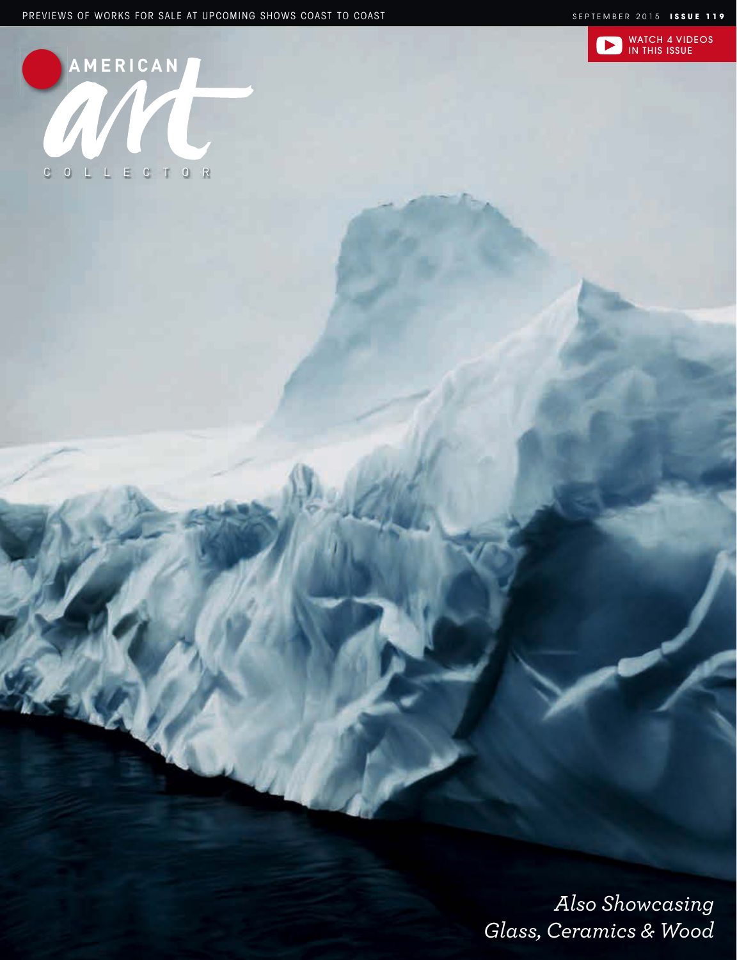



*Also Showcasing Glass, Ceramics & Wood*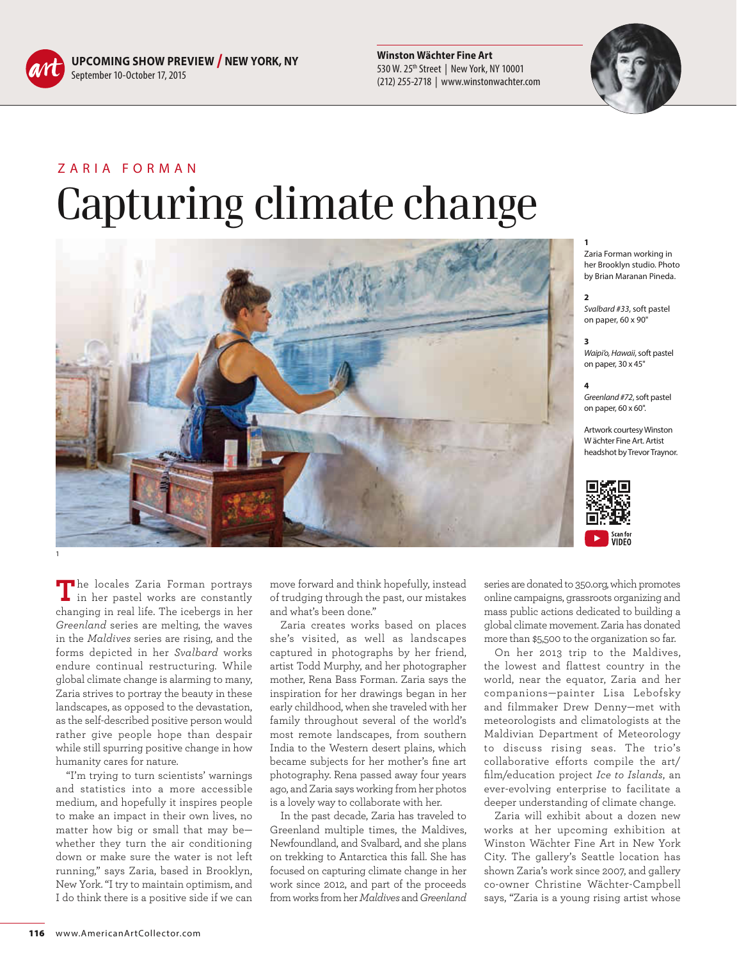

**UPCOMING SHOW PREVIEW / NEW YORK, NY** September 10-October 17, 2015

**Winston Wächter Fine Art** 530 W. 25th Street | New York, NY 10001 (212) 255-2718 | www.winstonwachter.com



## ZARIA FORMAN Capturing climate change



**1**  Zaria Forman working in her Brooklyn studio. Photo by Brian Maranan Pineda.

## **2**

*Svalbard #33*, soft pastel on paper, 60 x 90"

## **3**

*Waipi'o, Hawaii*, soft pastel on paper, 30 x 45"

## **4**

*Greenland #72*, soft pastel on paper, 60 x 60".

Artwork courtesy Winston W ächter Fine Art. Artist headshot by Trevor Traynor.



**T**he locales Zaria Forman portrays in her pastel works are constantly changing in real life. The icebergs in her *Greenland* series are melting, the waves in the *Maldives* series are rising, and the forms depicted in her *Svalbard* works endure continual restructuring. While global climate change is alarming to many, Zaria strives to portray the beauty in these landscapes, as opposed to the devastation, as the self-described positive person would rather give people hope than despair while still spurring positive change in how humanity cares for nature.

"I'm trying to turn scientists' warnings and statistics into a more accessible medium, and hopefully it inspires people to make an impact in their own lives, no matter how big or small that may be whether they turn the air conditioning down or make sure the water is not left running," says Zaria, based in Brooklyn, New York. "I try to maintain optimism, and I do think there is a positive side if we can move forward and think hopefully, instead of trudging through the past, our mistakes and what's been done."

Zaria creates works based on places she's visited, as well as landscapes captured in photographs by her friend, artist Todd Murphy, and her photographer mother, Rena Bass Forman. Zaria says the inspiration for her drawings began in her early childhood, when she traveled with her family throughout several of the world's most remote landscapes, from southern India to the Western desert plains, which became subjects for her mother's fine art photography. Rena passed away four years ago, and Zaria says working from her photos is a lovely way to collaborate with her.

In the past decade, Zaria has traveled to Greenland multiple times, the Maldives, Newfoundland, and Svalbard, and she plans on trekking to Antarctica this fall. She has focused on capturing climate change in her work since 2012, and part of the proceeds from works from her *Maldives* and *Greenland*

series are donated to 350.org, which promotes online campaigns, grassroots organizing and mass public actions dedicated to building a global climate movement. Zaria has donated more than \$5,500 to the organization so far.

On her 2013 trip to the Maldives, the lowest and flattest country in the world, near the equator, Zaria and her companions—painter Lisa Lebofsky and filmmaker Drew Denny—met with meteorologists and climatologists at the Maldivian Department of Meteorology to discuss rising seas. The trio's collaborative efforts compile the art/ film/education project *Ice to Islands*, an ever-evolving enterprise to facilitate a deeper understanding of climate change.

Zaria will exhibit about a dozen new works at her upcoming exhibition at Winston Wächter Fine Art in New York City. The gallery's Seattle location has shown Zaria's work since 2007, and gallery co-owner Christine Wächter-Campbell says, "Zaria is a young rising artist whose